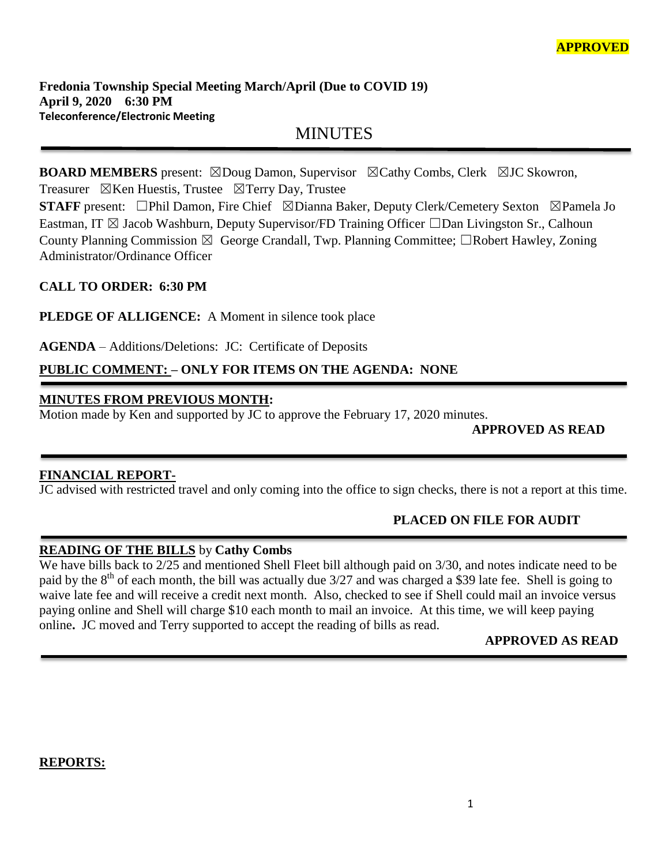# MINUTES

**BOARD MEMBERS** present: ⊠Doug Damon, Supervisor ⊠Cathy Combs, Clerk ⊠JC Skowron, Treasurer  $\boxtimes$ Ken Huestis, Trustee  $\boxtimes$ Terry Day, Trustee

**STAFF** present: □Phil Damon, Fire Chief ⊠Dianna Baker, Deputy Clerk/Cemetery Sexton ⊠Pamela Jo Eastman, IT  $\boxtimes$  Jacob Washburn, Deputy Supervisor/FD Training Officer  $\Box$ Dan Livingston Sr., Calhoun County Planning Commission  $\boxtimes$  George Crandall, Twp. Planning Committee;  $\Box$ Robert Hawley, Zoning Administrator/Ordinance Officer

### **CALL TO ORDER: 6:30 PM**

**PLEDGE OF ALLIGENCE:** A Moment in silence took place

**AGENDA** – Additions/Deletions: JC: Certificate of Deposits

# **PUBLIC COMMENT: – ONLY FOR ITEMS ON THE AGENDA: NONE**

## **MINUTES FROM PREVIOUS MONTH:**

Motion made by Ken and supported by JC to approve the February 17, 2020 minutes.

## **APPROVED AS READ**

### **FINANCIAL REPORT-**

JC advised with restricted travel and only coming into the office to sign checks, there is not a report at this time.

## **PLACED ON FILE FOR AUDIT**

### **READING OF THE BILLS** by **Cathy Combs**

We have bills back to 2/25 and mentioned Shell Fleet bill although paid on 3/30, and notes indicate need to be paid by the 8<sup>th</sup> of each month, the bill was actually due 3/27 and was charged a \$39 late fee. Shell is going to waive late fee and will receive a credit next month. Also, checked to see if Shell could mail an invoice versus paying online and Shell will charge \$10 each month to mail an invoice. At this time, we will keep paying online**.** JC moved and Terry supported to accept the reading of bills as read.

### **APPROVED AS READ**

### **REPORTS:**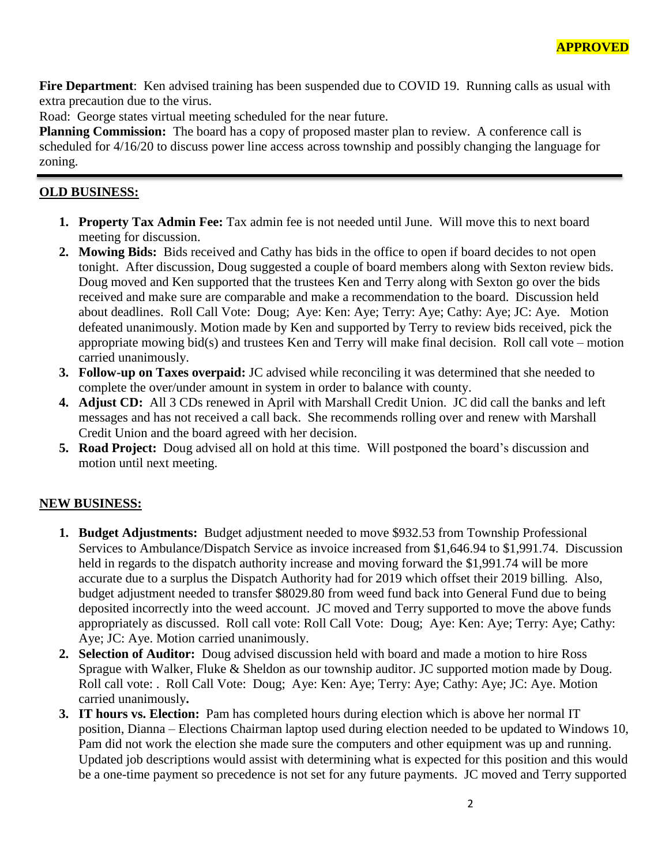**Fire Department**: Ken advised training has been suspended due to COVID 19. Running calls as usual with extra precaution due to the virus.

Road: George states virtual meeting scheduled for the near future.

**Planning Commission:** The board has a copy of proposed master plan to review. A conference call is scheduled for 4/16/20 to discuss power line access across township and possibly changing the language for zoning.

#### **OLD BUSINESS:**

- **1. Property Tax Admin Fee:** Tax admin fee is not needed until June. Will move this to next board meeting for discussion.
- **2. Mowing Bids:** Bids received and Cathy has bids in the office to open if board decides to not open tonight. After discussion, Doug suggested a couple of board members along with Sexton review bids. Doug moved and Ken supported that the trustees Ken and Terry along with Sexton go over the bids received and make sure are comparable and make a recommendation to the board. Discussion held about deadlines. Roll Call Vote: Doug; Aye: Ken: Aye; Terry: Aye; Cathy: Aye; JC: Aye. Motion defeated unanimously. Motion made by Ken and supported by Terry to review bids received, pick the appropriate mowing bid(s) and trustees Ken and Terry will make final decision. Roll call vote – motion carried unanimously.
- **3. Follow-up on Taxes overpaid:** JC advised while reconciling it was determined that she needed to complete the over/under amount in system in order to balance with county.
- **4. Adjust CD:** All 3 CDs renewed in April with Marshall Credit Union. JC did call the banks and left messages and has not received a call back. She recommends rolling over and renew with Marshall Credit Union and the board agreed with her decision.
- **5. Road Project:** Doug advised all on hold at this time. Will postponed the board's discussion and motion until next meeting.

### **NEW BUSINESS:**

- **1. Budget Adjustments:** Budget adjustment needed to move \$932.53 from Township Professional Services to Ambulance/Dispatch Service as invoice increased from \$1,646.94 to \$1,991.74. Discussion held in regards to the dispatch authority increase and moving forward the \$1,991.74 will be more accurate due to a surplus the Dispatch Authority had for 2019 which offset their 2019 billing. Also, budget adjustment needed to transfer \$8029.80 from weed fund back into General Fund due to being deposited incorrectly into the weed account. JC moved and Terry supported to move the above funds appropriately as discussed. Roll call vote: Roll Call Vote: Doug; Aye: Ken: Aye; Terry: Aye; Cathy: Aye; JC: Aye. Motion carried unanimously.
- **2. Selection of Auditor:** Doug advised discussion held with board and made a motion to hire Ross Sprague with Walker, Fluke & Sheldon as our township auditor. JC supported motion made by Doug. Roll call vote: . Roll Call Vote: Doug; Aye: Ken: Aye; Terry: Aye; Cathy: Aye; JC: Aye. Motion carried unanimously**.**
- **3. IT hours vs. Election:** Pam has completed hours during election which is above her normal IT position, Dianna – Elections Chairman laptop used during election needed to be updated to Windows 10, Pam did not work the election she made sure the computers and other equipment was up and running. Updated job descriptions would assist with determining what is expected for this position and this would be a one-time payment so precedence is not set for any future payments. JC moved and Terry supported